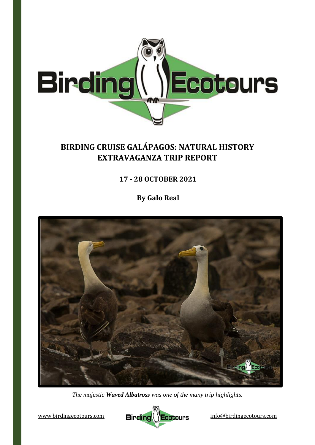

# **BIRDING CRUISE GALÁPAGOS: NATURAL HISTORY EXTRAVAGANZA TRIP REPORT**

**17 - 28 OCTOBER 2021**

**By Galo Real**



*The majestic Waved Albatross was one of the many trip highlights.*

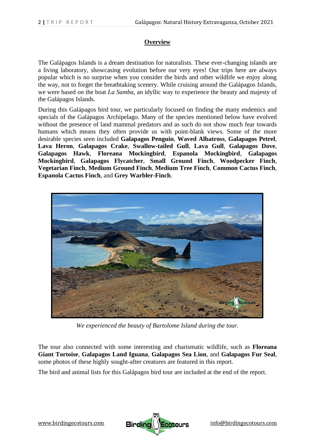## **Overview**

The Galápagos Islands is a dream destination for naturalists. These ever-changing islands are a living laboratory, showcasing evolution before our very eyes! Our trips here are always popular which is no surprise when you consider the birds and other wildlife we enjoy along the way, not to forget the breathtaking scenery. While cruising around the Galápagos Islands, we were based on the boat *La Samba*, an idyllic way to experience the beauty and majesty of the Galápagos Islands.

During this Galápagos bird tour, we particularly focused on finding the many endemics and specials of the Galápagos Archipelago. Many of the species mentioned below have evolved without the presence of land mammal predators and as such do not show much fear towards humans which means they often provide us with point-blank views. Some of the more desirable species seen included **Galapagos Penguin**, **Waved Albatross**, **Galapagos Petrel**, **Lava Heron**, **Galapagos Crake**, **Swallow-tailed Gull**, **Lava Gull**, **Galapagos Dove**, **Galapagos Hawk**, **Floreana Mockingbird**, **Espanola Mockingbird**, **Galapagos Mockingbird**, **Galapagos Flycatcher**, **Small Ground Finch**, **Woodpecker Finch**, **Vegetarian Finch**, **Medium Ground Finch**, **Medium Tree Finch**, **Common Cactus Finch**, **Espanola Cactus Finch**, and **Grey Warbler-Finch**.



*We experienced the beauty of Bartolome Island during the tour.*

The tour also connected with some interesting and charismatic wildlife, such as **Floreana Giant Tortoise**, **Galapagos Land Iguana**, **Galapagos Sea Lion**, and **Galapagos Fur Seal**, some photos of these highly sought-after creatures are featured in this report.

The bird and animal lists for this Galápagos bird tour are included at the end of the report.

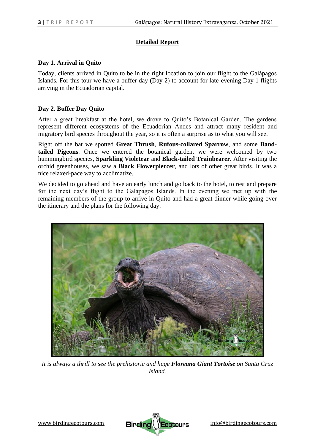### **Detailed Report**

#### **Day 1. Arrival in Quito**

Today, clients arrived in Quito to be in the right location to join our flight to the Galápagos Islands. For this tour we have a buffer day (Day 2) to account for late-evening Day 1 flights arriving in the Ecuadorian capital.

#### **Day 2. Buffer Day Quito**

After a great breakfast at the hotel, we drove to Quito's Botanical Garden. The gardens represent different ecosystems of the Ecuadorian Andes and attract many resident and migratory bird species throughout the year, so it is often a surprise as to what you will see.

Right off the bat we spotted **Great Thrush**, **Rufous-collared Sparrow**, and some **Bandtailed Pigeons**. Once we entered the botanical garden, we were welcomed by two hummingbird species, **Sparkling Violetear** and **Black-tailed Trainbearer**. After visiting the orchid greenhouses, we saw a **Black Flowerpiercer**, and lots of other great birds. It was a nice relaxed-pace way to acclimatize.

We decided to go ahead and have an early lunch and go back to the hotel, to rest and prepare for the next day's flight to the Galápagos Islands. In the evening we met up with the remaining members of the group to arrive in Quito and had a great dinner while going over the itinerary and the plans for the following day.



*It is always a thrill to see the prehistoric and huge Floreana Giant Tortoise on Santa Cruz Island.* 

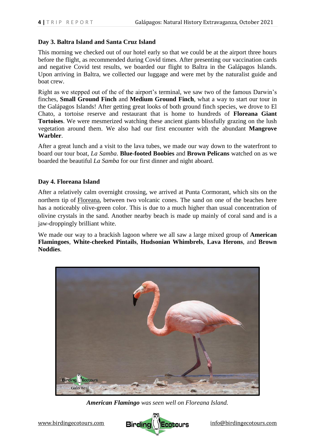### **Day 3. Baltra Island and Santa Cruz Island**

This morning we checked out of our hotel early so that we could be at the airport three hours before the flight, as recommended during Covid times. After presenting our vaccination cards and negative Covid test results, we boarded our flight to Baltra in the Galápagos Islands. Upon arriving in Baltra, we collected our luggage and were met by the naturalist guide and boat crew.

Right as we stepped out of the of the airport's terminal, we saw two of the famous Darwin's finches, **Small Ground Finch** and **Medium Ground Finch**, what a way to start our tour in the Galápagos Islands! After getting great looks of both ground finch species, we drove to El Chato, a tortoise reserve and restaurant that is home to hundreds of **Floreana Giant Tortoises**. We were mesmerized watching these ancient giants blissfully grazing on the lush vegetation around them. We also had our first encounter with the abundant **Mangrove Warbler**.

After a great lunch and a visit to the lava tubes, we made our way down to the waterfront to board our tour boat, *La Samba*. **Blue-footed Boobies** and **Brown Pelicans** watched on as we boarded the beautiful *La Samba* for our first dinner and night aboard.

#### **Day 4. Floreana Island**

After a relatively calm overnight crossing, we arrived at Punta Cormorant, which sits on the northern tip of [Floreana,](https://www.galapatours.com/destinations/floreana) between two volcanic cones. The sand on one of the beaches here has a noticeably olive-green color. This is due to a much higher than usual concentration of olivine crystals in the sand. Another nearby beach is made up mainly of coral sand and is a jaw-droppingly brilliant white.

We made our way to a brackish lagoon where we all saw a large mixed group of **American Flamingoes**, **White-cheeked Pintails**, **Hudsonian Whimbrels**, **Lava Herons**, and **Brown Noddies**.



*American Flamingo was seen well on Floreana Island.* 

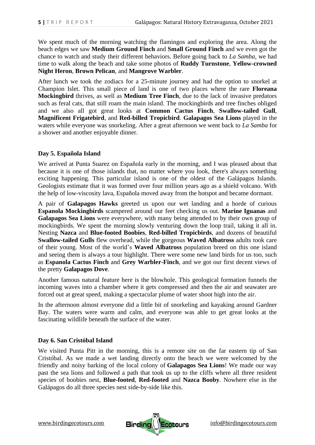We spent much of the morning watching the flamingos and exploring the area. Along the beach edges we saw **Medium Ground Finch** and **Small Ground Finch** and we even got the chance to watch and study their different behaviors. Before going back to *La Samba*, we had time to walk along the beach and take some photos of **Ruddy Turnstone**, **Yellow-crowned Night Heron**, **Brown Pelican**, and **Mangrove Warbler**.

After lunch we took the zodiacs for a 25-minute journey and had the option to snorkel at Champion Islet. This small piece of land is one of two places where the rare **Floreana Mockingbird** thrives, as well as **Medium Tree Finch**, due to the lack of invasive predators such as feral cats, that still roam the main island. The mockingbirds and tree finches obliged and we also all got great looks at **Common Cactus Finch**, **Swallow-tailed Gull**, **Magnificent Frigatebird**, and **Red-billed Tropicbird**. **Galapagos Sea Lions** played in the waters while everyone was snorkeling. After a great afternoon we went back to *La Samba* for a shower and another enjoyable dinner.

#### **Day 5. Española Island**

We arrived at Punta Suarez on Española early in the morning, and I was pleased about that because it is one of those islands that, no matter where you look, there's always something exciting happening. This particular island is one of the oldest of the Galápagos Islands. Geologists estimate that it was formed over four million years ago as a shield volcano. With the help of low-viscosity lava, Española moved away from the hotspot and became dormant.

A pair of **Galapagos Hawks** greeted us upon our wet landing and a horde of curious **Espanola Mockingbirds** scampered around our feet checking us out. **Marine Iguanas** and **Galapagos Sea Lions** were everywhere, with many being attended to by their own group of mockingbirds. We spent the morning slowly venturing down the loop trail, taking it all in. Nesting **Nazca** and **Blue-footed Boobies**, **Red-billed Tropicbirds**, and dozens of beautiful **Swallow-tailed Gulls** flew overhead, while the gorgeous **Waved Albatross** adults took care of their young. Most of the world's **Waved Albatross** population breed on this one island and seeing them is always a tour highlight. There were some new land birds for us too, such as **Espanola Cactus Finch** and **Grey Warbler-Finch**, and we got our first decent views of the pretty **Galapagos Dove**.

Another famous natural feature here is the blowhole. This geological formation funnels the incoming waves into a chamber where it gets compressed and then the air and seawater are forced out at great speed, making a spectacular plume of water shoot high into the air.

In the afternoon almost everyone did a little bit of snorkeling and kayaking around Gardner Bay. The waters were warm and calm, and everyone was able to get great looks at the fascinating wildlife beneath the surface of the water.

#### **Day 6. San Cristóbal Island**

We visited Punta Pitt in the morning, this is a remote site on the far eastern tip of San Cristóbal. As we made a wet landing directly onto the beach we were welcomed by the friendly and noisy barking of the local colony of **[Galapagos Sea Lions](https://www.galapatours.com/animals/galapagos-sea-lion)**! We made our way past the sea lions and followed a path that took us up to the cliffs where all three resident species of boobies nest, **Blue-footed**, **Red-footed** and **Nazca Booby**. Nowhere else in the Galápagos do all three species nest side-by-side like this.



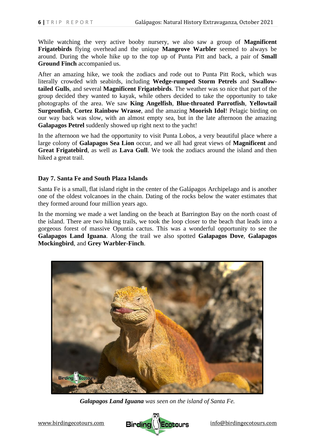While watching the very active booby nursery, we also saw a group of **Magnificent Frigatebirds** flying overhead and the unique **Mangrove Warbler** seemed to always be around. During the whole hike up to the top up of Punta Pitt and back, a pair of **Small Ground Finch** accompanied us.

After an amazing hike, we took the zodiacs and rode out to Punta Pitt Rock, which was literally crowded with seabirds, including **Wedge-rumped Storm Petrels** and **Swallowtailed Gulls**, and several **Magnificent Frigatebirds**. The weather was so nice that part of the group decided they wanted to kayak, while others decided to take the opportunity to take photographs of the area. We saw **King Angelfish**, **Blue-throated Parrotfish**, **Yellowtail Surgeonfish**, **Cortez Rainbow Wrasse**, and the amazing **Moorish Idol**! Pelagic birding on our way back was slow, with an almost empty sea, but in the late afternoon the amazing **Galapagos Petrel** suddenly showed up right next to the yacht!

In the afternoon we had the opportunity to visit Punta Lobos, a very beautiful place where a large colony of **Galapagos Sea Lion** occur, and we all had great views of **Magnificent** and **Great Frigatebird**, as well as **Lava Gull**. We took the zodiacs around the island and then hiked a great trail.

#### **Day 7. Santa Fe and South Plaza Islands**

Santa Fe is a small, flat island right in the center of the Galápagos Archipelago and is another one of the oldest volcanoes in the chain. Dating of the rocks below the water estimates that they formed around four million years ago.

In the morning we made a wet landing on the beach at Barrington Bay on the north coast of the island. There are two hiking trails, we took the loop closer to the beach that leads into a gorgeous forest of massive Opuntia cactus. This was a wonderful opportunity to see the **Galapagos Land Iguana**. Along the trail we also spotted **Galapagos Dove**, **Galapagos Mockingbird**, and **Grey Warbler-Finch**.



*Galapagos Land Iguana was seen on the island of Santa Fe.*

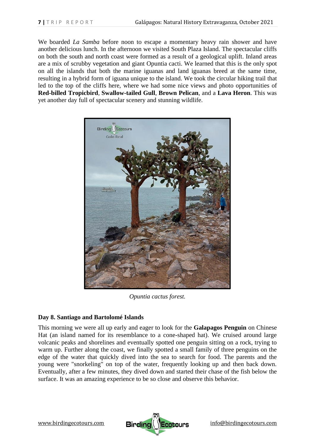We boarded *La Samba* before noon to escape a momentary heavy rain shower and have another delicious lunch. In the afternoon we visited South Plaza Island. The spectacular cliffs on both the south and north coast were formed as a result of a geological uplift. Inland areas are a mix of scrubby vegetation and giant Opuntia cacti. We learned that this is the only spot on all the islands that both the marine iguanas and land iguanas breed at the same time, resulting in a hybrid form of iguana unique to the island. We took the circular hiking trail that led to the top of the cliffs here, where we had some nice views and photo opportunities of **Red-billed Tropicbird**, **Swallow-tailed Gull**, **Brown Pelican**, and a **Lava Heron**. This was yet another day full of spectacular scenery and stunning wildlife.



*Opuntia cactus forest.*

## **Day 8. Santiago and Bartolomé Islands**

This morning we were all up early and eager to look for the **Galapagos Penguin** on Chinese Hat (an island named for its resemblance to a cone-shaped hat). We cruised around large volcanic peaks and shorelines and eventually spotted one penguin sitting on a rock, trying to warm up. Further along the coast, we finally spotted a small family of three penguins on the edge of the water that quickly dived into the sea to search for food. The parents and the young were "snorkeling" on top of the water, frequently looking up and then back down. Eventually, after a few minutes, they dived down and started their chase of the fish below the surface. It was an amazing experience to be so close and observe this behavior.

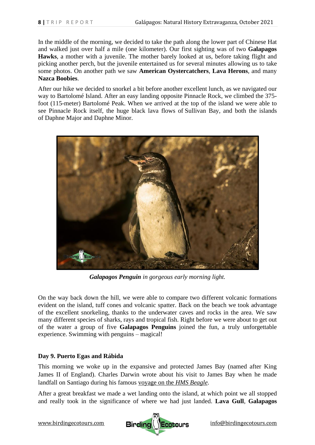In the middle of the morning, we decided to take the path along the lower part of Chinese Hat and walked just over half a mile (one kilometer). Our first sighting was of two **Galapagos Hawks**, a mother with a juvenile. The mother barely looked at us, before taking flight and picking another perch, but the juvenile entertained us for several minutes allowing us to take some photos. On another path we saw **American Oystercatchers**, **Lava Herons**, and many **Nazca Boobies**.

After our hike we decided to snorkel a bit before another excellent lunch, as we navigated our way to Bartolomé Island. After an easy landing opposite Pinnacle Rock, we climbed the 375 foot (115-meter) Bartolomé Peak. When we arrived at the top of the island we were able to see Pinnacle Rock itself, the huge black lava flows of [Sullivan Bay,](https://www.galapatours.com/highlights/sullivan-bay) and both the islands of [Daphne Major](https://www.galapatours.com/highlights/daphne-major) and [Daphne Minor.](https://www.galapatours.com/highlights/daphne-minor)



*Galapagos Penguin in gorgeous early morning light.*

On the way back down the hill, we were able to compare two different volcanic formations evident on the island, tuff cones and volcanic spatter. Back on the beach we took advantage of the excellent snorkeling, thanks to the underwater caves and rocks in the area. We saw many different species of [sharks,](https://www.galapatours.com/animals/galapagos-sharks) [rays](https://www.galapatours.com/animals/galapagos-stingray-manta-ray-golden-ray) and tropical fish. Right before we were about to get out of the water a group of five **Galapagos Penguins** joined the fun, a truly unforgettable experience. Swimming with penguins – magical!

#### **Day 9. Puerto Egas and Rábida**

This morning we woke up in the expansive and protected James Bay (named after King James II of England). Charles Darwin wrote about his visit to James Bay when he made landfall on Santiago during his famous [voyage on the](https://en.wikipedia.org/wiki/The_Voyage_of_the_Beagle) *HMS Beagle*.

After a great breakfast we made a wet landing onto the island, at which point we all stopped and really took in the significance of where we had just landed. **Lava Gull**, **Galapagos** 



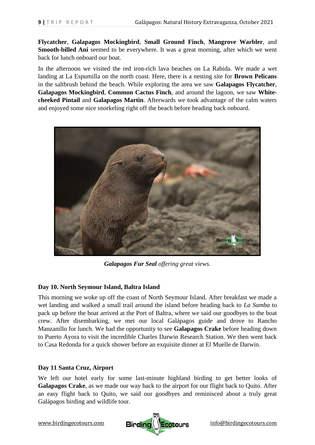**Flycatcher**, **Galapagos Mockingbird**, **Small Ground Finch**, **Mangrove Warbler**, and **Smooth-billed Ani** seemed to be everywhere. It was a great morning, after which we went back for lunch onboard our boat.

In the afternoon we visited the red iron-rich lava beaches on La Rabida. We made a wet landing at La Espumilla on the north coast. Here, there is a nesting site for **Brown Pelicans** in the saltbrush behind the beach. While exploring the area we saw **Galapagos Flycatcher**, **Galapagos Mockingbird**, **Common Cactus Finch**, and around the lagoon, we saw **Whitecheeked Pintail** and **Galapagos Martin**. Afterwards we took advantage of the calm waters and enjoyed some nice snorkeling right off the beach before heading back onboard.



*Galapagos Fur Seal offering great views.*

## **Day 10. North Seymour Island, Baltra Island**

This morning we woke up off the coast of North Seymour Island. After breakfast we made a wet landing and walked a small trail around the island before heading back to *La Samba* to pack up before the boat arrived at the Port of Baltra, where we said our goodbyes to the boat crew. After disembarking, we met our local Galápagos guide and drove to Rancho Manzanillo for lunch. We had the opportunity to see **Galapagos Crake** before heading down to Puerto Ayora to visit the incredible Charles Darwin Research Station. We then went back to Casa Redonda for a quick shower before an exquisite dinner at El Muelle de Darwin.

## **Day 11 Santa Cruz, Airport**

We left our hotel early for some last-minute highland birding to get better looks of **Galapagos Crake**, as we made our way back to the airport for our flight back to Quito. After an easy flight back to Quito, we said our goodbyes and reminisced about a truly great Galápagos birding and wildlife tour.

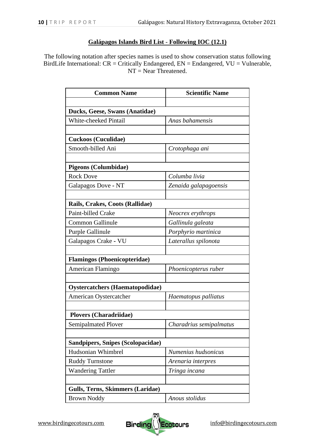#### **Galápagos Islands Bird List** - **Following IOC (12.1)**

The following notation after species names is used to show conservation status following BirdLife International:  $CR =$ Critically Endangered,  $EN =$ Endangered,  $VU =$ Vulnerable, NT = Near Threatened.

| <b>Common Name</b>                      | <b>Scientific Name</b>  |  |
|-----------------------------------------|-------------------------|--|
|                                         |                         |  |
| Ducks, Geese, Swans (Anatidae)          |                         |  |
| White-cheeked Pintail                   | Anas bahamensis         |  |
|                                         |                         |  |
| <b>Cuckoos (Cuculidae)</b>              |                         |  |
| Smooth-billed Ani                       | Crotophaga ani          |  |
|                                         |                         |  |
| <b>Pigeons (Columbidae)</b>             |                         |  |
| <b>Rock Dove</b>                        | Columba livia           |  |
| Galapagos Dove - NT                     | Zenaida galapagoensis   |  |
|                                         |                         |  |
| Rails, Crakes, Coots (Rallidae)         |                         |  |
| Paint-billed Crake                      | Neocrex erythrops       |  |
| Common Gallinule                        | Gallinula galeata       |  |
| Purple Gallinule                        | Porphyrio martinica     |  |
| Galapagos Crake - VU                    | Laterallus spilonota    |  |
|                                         |                         |  |
| <b>Flamingos (Phoenicopteridae)</b>     |                         |  |
| American Flamingo                       | Phoenicopterus ruber    |  |
|                                         |                         |  |
| <b>Oystercatchers (Haematopodidae)</b>  |                         |  |
| American Oystercatcher                  | Haematopus palliatus    |  |
|                                         |                         |  |
| <b>Plovers (Charadriidae)</b>           |                         |  |
| Semipalmated Plover                     | Charadrius semipalmatus |  |
|                                         |                         |  |
| Sandpipers, Snipes (Scolopacidae)       |                         |  |
| Hudsonian Whimbrel                      | Numenius hudsonicus     |  |
| <b>Ruddy Turnstone</b>                  | Arenaria interpres      |  |
| <b>Wandering Tattler</b>                | Tringa incana           |  |
|                                         |                         |  |
| <b>Gulls, Terns, Skimmers (Laridae)</b> |                         |  |
| <b>Brown Noddy</b>                      | Anous stolidus          |  |

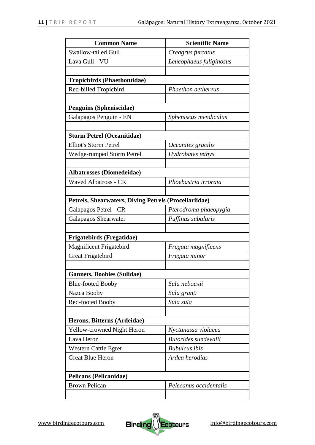| <b>Common Name</b>                                    | <b>Scientific Name</b>  |  |
|-------------------------------------------------------|-------------------------|--|
| <b>Swallow-tailed Gull</b>                            | Creagrus furcatus       |  |
| Lava Gull - VU                                        | Leucophaeus fuliginosus |  |
|                                                       |                         |  |
| <b>Tropicbirds (Phaethontidae)</b>                    |                         |  |
| Red-billed Tropicbird                                 | Phaethon aethereus      |  |
|                                                       |                         |  |
| <b>Penguins (Spheniscidae)</b>                        |                         |  |
| Galapagos Penguin - EN                                | Spheniscus mendiculus   |  |
|                                                       |                         |  |
| <b>Storm Petrel (Oceanitidae)</b>                     |                         |  |
| <b>Elliot's Storm Petrel</b>                          | Oceanites gracilis      |  |
| Wedge-rumped Storm Petrel                             | Hydrobates tethys       |  |
|                                                       |                         |  |
| <b>Albatrosses (Diomedeidae)</b>                      |                         |  |
| <b>Waved Albatross - CR</b>                           | Phoebastria irrorata    |  |
|                                                       |                         |  |
| Petrels, Shearwaters, Diving Petrels (Procellariidae) |                         |  |
| Galapagos Petrel - CR                                 | Pterodroma phaeopygia   |  |
| <b>Galapagos Shearwater</b>                           | Puffinus subalaris      |  |
|                                                       |                         |  |
| <b>Frigatebirds (Fregatidae)</b>                      |                         |  |
| <b>Magnificent Frigatebird</b>                        | Fregata magnificens     |  |
| Great Frigatebird                                     | Fregata minor           |  |
|                                                       |                         |  |
| <b>Gannets, Boobies (Sulidae)</b>                     |                         |  |
| <b>Blue-footed Booby</b>                              | Sula nebouxii           |  |
| Nazca Booby                                           | Sula granti             |  |
| Red-footed Booby                                      | Sula sula               |  |
|                                                       |                         |  |
| Herons, Bitterns (Ardeidae)                           |                         |  |
| Yellow-crowned Night Heron                            | Nyctanassa violacea     |  |
| Lava Heron                                            | Butorides sundevalli    |  |
| <b>Western Cattle Egret</b>                           | <b>Bubulcus</b> ibis    |  |
| <b>Great Blue Heron</b>                               | Ardea herodias          |  |
|                                                       |                         |  |
| <b>Pelicans (Pelicanidae)</b>                         |                         |  |
| <b>Brown Pelican</b>                                  | Pelecanus occidentalis  |  |
|                                                       |                         |  |

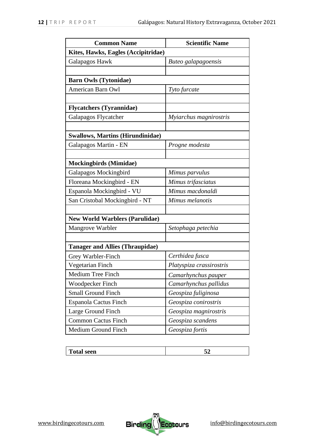| <b>Common Name</b>                      | <b>Scientific Name</b>   |  |
|-----------------------------------------|--------------------------|--|
| Kites, Hawks, Eagles (Accipitridae)     |                          |  |
| Galapagos Hawk                          | Buteo galapagoensis      |  |
|                                         |                          |  |
| <b>Barn Owls (Tytonidae)</b>            |                          |  |
| <b>American Barn Owl</b>                | Tyto furcate             |  |
|                                         |                          |  |
| <b>Flycatchers</b> (Tyrannidae)         |                          |  |
| Galapagos Flycatcher                    | Myiarchus magnirostris   |  |
|                                         |                          |  |
| <b>Swallows, Martins (Hirundinidae)</b> |                          |  |
| Galapagos Martin - EN                   | Progne modesta           |  |
|                                         |                          |  |
| <b>Mockingbirds (Mimidae)</b>           |                          |  |
| Galapagos Mockingbird                   | Mimus parvulus           |  |
| Floreana Mockingbird - EN               | Mimus trifasciatus       |  |
| Espanola Mockingbird - VU               | Mimus macdonaldi         |  |
| San Cristobal Mockingbird - NT          | Mimus melanotis          |  |
|                                         |                          |  |
| <b>New World Warblers (Parulidae)</b>   |                          |  |
| Mangrove Warbler                        | Setophaga petechia       |  |
|                                         |                          |  |
| <b>Tanager and Allies (Thraupidae)</b>  |                          |  |
| Grey Warbler-Finch                      | Certhidea fusca          |  |
| Vegetarian Finch                        | Platyspiza crassirostris |  |
| Medium Tree Finch                       | Camarhynchus pauper      |  |
| Woodpecker Finch                        | Camarhynchus pallidus    |  |
| <b>Small Ground Finch</b>               | Geospiza fuliginosa      |  |
| Espanola Cactus Finch                   | Geospiza conirostris     |  |
| Large Ground Finch                      | Geospiza magnirostris    |  |
| <b>Common Cactus Finch</b>              | Geospiza scandens        |  |
| Medium Ground Finch                     | Geospiza fortis          |  |

| Total seen<br>. | 7 A<br>m |
|-----------------|----------|
|-----------------|----------|